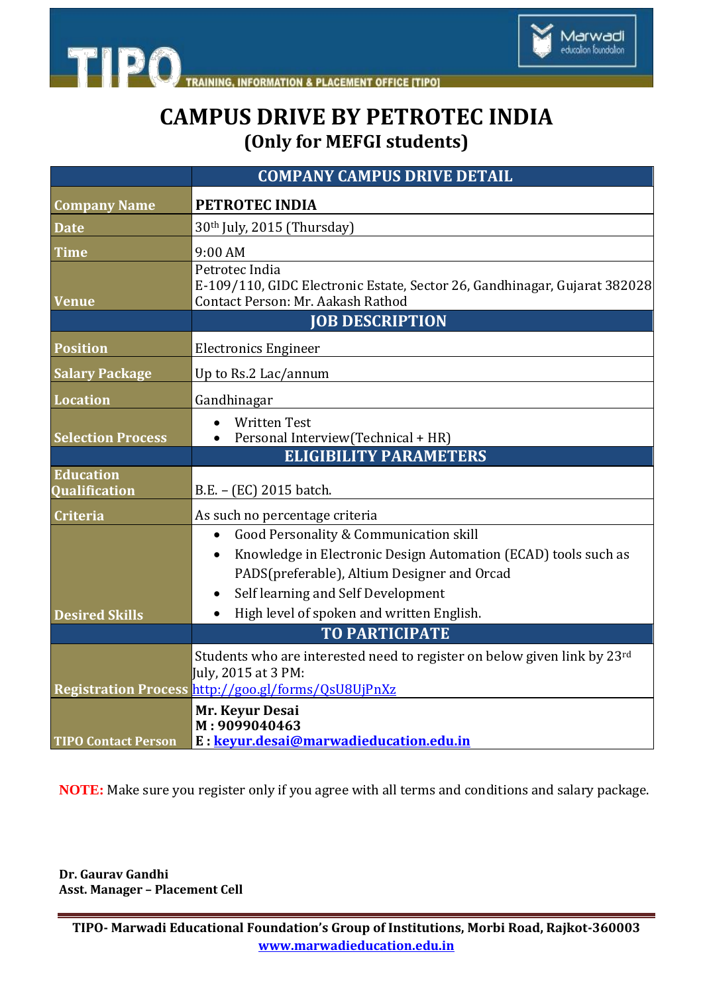

**INFORMATION & PLACEMENT OFFICE [TIPO]** 

## **CAMPUS DRIVE BY PETROTEC INDIA (Only for MEFGI students)**

|                            | <b>COMPANY CAMPUS DRIVE DETAIL</b>                                                                                                                                                                                                                      |
|----------------------------|---------------------------------------------------------------------------------------------------------------------------------------------------------------------------------------------------------------------------------------------------------|
| <b>Company Name</b>        | PETROTEC INDIA                                                                                                                                                                                                                                          |
| <b>Date</b>                | 30th July, 2015 (Thursday)                                                                                                                                                                                                                              |
| <b>Time</b>                | 9:00 AM                                                                                                                                                                                                                                                 |
| <b>Venue</b>               | Petrotec India<br>E-109/110, GIDC Electronic Estate, Sector 26, Gandhinagar, Gujarat 382028<br>Contact Person: Mr. Aakash Rathod                                                                                                                        |
|                            | <b>JOB DESCRIPTION</b>                                                                                                                                                                                                                                  |
| <b>Position</b>            | <b>Electronics Engineer</b>                                                                                                                                                                                                                             |
| <b>Salary Package</b>      | Up to Rs.2 Lac/annum                                                                                                                                                                                                                                    |
| <b>Location</b>            | Gandhinagar                                                                                                                                                                                                                                             |
| <b>Selection Process</b>   | <b>Written Test</b><br>Personal Interview(Technical + HR)                                                                                                                                                                                               |
| <b>Education</b>           | <b>ELIGIBILITY PARAMETERS</b>                                                                                                                                                                                                                           |
| Qualification              | B.E. - (EC) 2015 batch.                                                                                                                                                                                                                                 |
| <b>Criteria</b>            | As such no percentage criteria                                                                                                                                                                                                                          |
| <b>Desired Skills</b>      | Good Personality & Communication skill<br>Knowledge in Electronic Design Automation (ECAD) tools such as<br>$\bullet$<br>PADS(preferable), Altium Designer and Orcad<br>Self learning and Self Development<br>High level of spoken and written English. |
|                            | <b>TO PARTICIPATE</b>                                                                                                                                                                                                                                   |
|                            | Students who are interested need to register on below given link by 23rd<br>July, 2015 at 3 PM:<br>Registration Process http://goo.gl/forms/QsU8UjPnXz                                                                                                  |
| <b>TIPO Contact Person</b> | Mr. Keyur Desai<br>M: 9099040463<br>E: kevur.desai@marwadieducation.edu.in                                                                                                                                                                              |

**NOTE:** Make sure you register only if you agree with all terms and conditions and salary package.

**Dr. Gaurav Gandhi Asst. Manager – Placement Cell**

**TIPO**